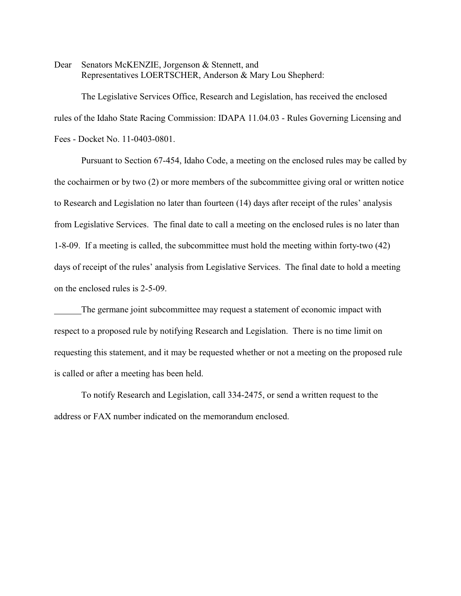Dear Senators McKENZIE, Jorgenson & Stennett, and Representatives LOERTSCHER, Anderson & Mary Lou Shepherd:

The Legislative Services Office, Research and Legislation, has received the enclosed rules of the Idaho State Racing Commission: IDAPA 11.04.03 - Rules Governing Licensing and Fees - Docket No. 11-0403-0801.

Pursuant to Section 67-454, Idaho Code, a meeting on the enclosed rules may be called by the cochairmen or by two (2) or more members of the subcommittee giving oral or written notice to Research and Legislation no later than fourteen (14) days after receipt of the rules' analysis from Legislative Services. The final date to call a meeting on the enclosed rules is no later than 1-8-09. If a meeting is called, the subcommittee must hold the meeting within forty-two (42) days of receipt of the rules' analysis from Legislative Services. The final date to hold a meeting on the enclosed rules is 2-5-09.

The germane joint subcommittee may request a statement of economic impact with respect to a proposed rule by notifying Research and Legislation. There is no time limit on requesting this statement, and it may be requested whether or not a meeting on the proposed rule is called or after a meeting has been held.

To notify Research and Legislation, call 334-2475, or send a written request to the address or FAX number indicated on the memorandum enclosed.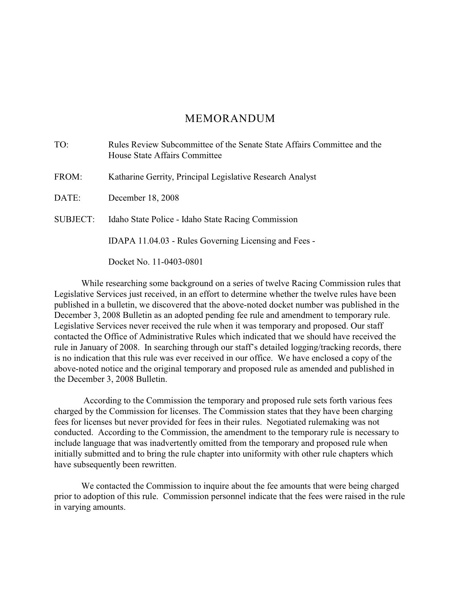# MEMORANDUM

| TO:             | Rules Review Subcommittee of the Senate State Affairs Committee and the<br>House State Affairs Committee |
|-----------------|----------------------------------------------------------------------------------------------------------|
| FROM:           | Katharine Gerrity, Principal Legislative Research Analyst                                                |
| DATE:           | December 18, 2008                                                                                        |
| <b>SUBJECT:</b> | Idaho State Police - Idaho State Racing Commission                                                       |
|                 | IDAPA 11.04.03 - Rules Governing Licensing and Fees -                                                    |
|                 | Docket No. 11-0403-0801                                                                                  |

While researching some background on a series of twelve Racing Commission rules that Legislative Services just received, in an effort to determine whether the twelve rules have been published in a bulletin, we discovered that the above-noted docket number was published in the December 3, 2008 Bulletin as an adopted pending fee rule and amendment to temporary rule. Legislative Services never received the rule when it was temporary and proposed. Our staff contacted the Office of Administrative Rules which indicated that we should have received the rule in January of 2008. In searching through our staff's detailed logging/tracking records, there is no indication that this rule was ever received in our office. We have enclosed a copy of the above-noted notice and the original temporary and proposed rule as amended and published in the December 3, 2008 Bulletin.

 According to the Commission the temporary and proposed rule sets forth various fees charged by the Commission for licenses. The Commission states that they have been charging fees for licenses but never provided for fees in their rules. Negotiated rulemaking was not conducted. According to the Commission, the amendment to the temporary rule is necessary to include language that was inadvertently omitted from the temporary and proposed rule when initially submitted and to bring the rule chapter into uniformity with other rule chapters which have subsequently been rewritten.

We contacted the Commission to inquire about the fee amounts that were being charged prior to adoption of this rule. Commission personnel indicate that the fees were raised in the rule in varying amounts.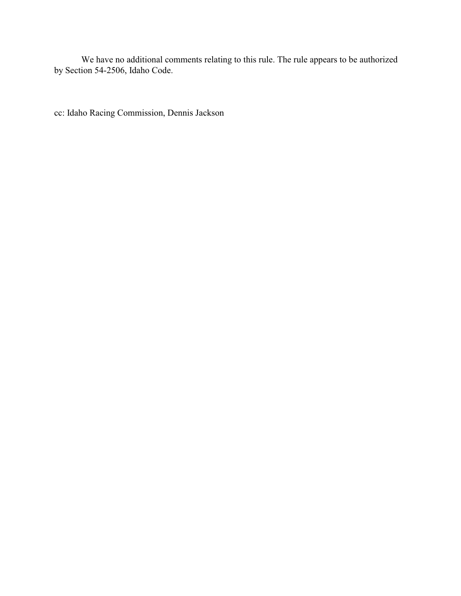We have no additional comments relating to this rule. The rule appears to be authorized by Section 54-2506, Idaho Code.

cc: Idaho Racing Commission, Dennis Jackson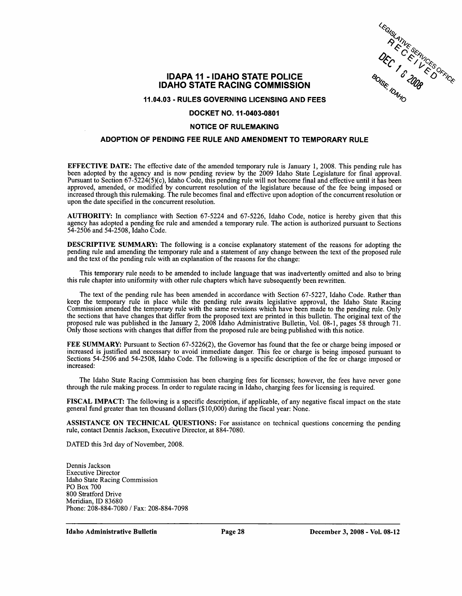

# **IDAPA 11 - IDAHO STATE POLICE IDAHO STATE RACING COMMISSION**

11.04.03 - RULES GOVERNING LICENSING AND FEES

## DOCKET NO. 11-0403-0801

### **NOTICE OF RULEMAKING**

# ADOPTION OF PENDING FEE RULE AND AMENDMENT TO TEMPORARY RULE

**EFFECTIVE DATE:** The effective date of the amended temporary rule is January 1, 2008. This pending rule has been adopted by the agency and is now pending review by the 2009 Idaho State Legislature for final approval.<br>Pursuant to Section 67-5224(5)(c), Idaho Code, this pending rule will not become final and effective until it has approved, amended, or modified by concurrent resolution of the legislature because of the fee being imposed or increased through this rulemaking. The rule becomes final and effective upon adoption of the concurrent resolution or upon the date specified in the concurrent resolution.

AUTHORITY: In compliance with Section 67-5224 and 67-5226, Idaho Code, notice is hereby given that this agency has adopted a pending fee rule and amended a temporary rule. The action is authorized pursuant to Sections 54-2506 and 54-2508, Idaho Code.

**DESCRIPTIVE SUMMARY:** The following is a concise explanatory statement of the reasons for adopting the pending rule and amending the temporary rule and a statement of any change between the text of the proposed rule and the text of the pending rule with an explanation of the reasons for the change:

This temporary rule needs to be amended to include language that was inadvertently omitted and also to bring this rule chapter into uniformity with other rule chapters which have subsequently been rewritten.

The text of the pending rule has been amended in accordance with Section 67-5227, Idaho Code. Rather than keep the temporary rule in place while the pending rule awaits legislative approval, the Idaho State Racing Commission amended the temporary rule with the same revisions which have been made to the pending rule. Only the sections that have changes that differ from the proposed text are printed in this bulletin. The original text of the proposed rule was published in the January 2, 2008 Idaho Administrative Bulletin, Vol. 08-1, pages 58 Only those sections with changes that differ from the proposed rule are being published with this notice.

FEE SUMMARY: Pursuant to Section 67-5226(2), the Governor has found that the fee or charge being imposed or increased is justified and necessary to avoid immediate danger. This fee or charge is being imposed pursuant to Sections 54-2506 and 54-2508, Idaho Code. The following is a specific description of the fee or charge imposed or increased:

The Idaho State Racing Commission has been charging fees for licenses; however, the fees have never gone through the rule making process. In order to regulate racing in Idaho, charging fees for licensing is required.

FISCAL IMPACT: The following is a specific description, if applicable, of any negative fiscal impact on the state general fund greater than ten thousand dollars (\$10,000) during the fiscal year: None.

**ASSISTANCE ON TECHNICAL QUESTIONS:** For assistance on technical questions concerning the pending rule, contact Dennis Jackson, Executive Director, at 884-7080.

DATED this 3rd day of November, 2008.

Dennis Jackson **Executive Director Idaho State Racing Commission** PO Box 700 800 Stratford Drive Meridian, ID 83680 Phone: 208-884-7080 / Fax: 208-884-7098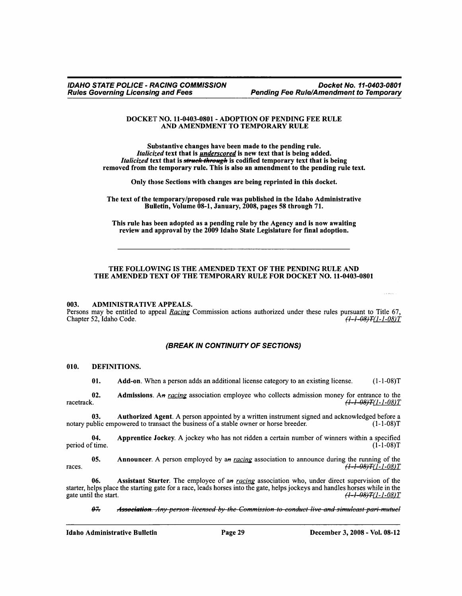### DOCKET NO. 11-0403-0801 - ADOPTION OF PENDING FEE RULE AND AMENDMENT TO TEMPORARY RULE

Substantive changes have been made to the pending rule. Italicized text that is *underscored* is new text that is being added. *Italicized* text that is *struck through* is codified temporary text that is being removed from the temporary rule. This is also an amendment to the pending rule text.

Only those Sections with changes are being reprinted in this docket.

The text of the temporary/proposed rule was published in the Idaho Administrative Bulletin, Volume 08-1, January, 2008, pages 58 through 71.

This rule has been adopted as a pending rule by the Agency and is now awaiting review and approval by the 2009 Idaho State Legislature for final adoption.

### THE FOLLOWING IS THE AMENDED TEXT OF THE PENDING RULE AND THE AMENDED TEXT OF THE TEMPORARY RULE FOR DOCKET NO. 11-0403-0801

#### **ADMINISTRATIVE APPEALS.** 003.

Persons may be entitled to appeal Racing Commission actions authorized under these rules pursuant to Title 67, Chapter 52, Idaho Code.  $(1 - 1 - 08)T(1 - 1 - 08)T$ 

### **(BREAK IN CONTINUITY OF SECTIONS)**

#### 010. DEFINITIONS.

01. Add-on. When a person adds an additional license category to an existing license.  $(1-1-08)T$ 

Admissions. An racing association employee who collects admission money for entrance to the 02. racetrack.  $(1 - 1 - 08)T(1 - 1 - 08)T$ 

Authorized Agent. A person appointed by a written instrument signed and acknowledged before a 03. notary public empowered to transact the business of a stable owner or horse breeder.  $(1-1-08)T$ 

Apprentice Jockey. A jockey who has not ridden a certain number of winners within a specified  $04$ period of time.  $(1 - 1 - 08)T$ 

Announcer. A person employed by an racing association to announce during the running of the 05. races.  $\frac{(1-1-0.8)}{T}$   $\frac{T(1-1-0.8)}{T}$ 

Assistant Starter. The employee of an racing association who, under direct supervision of the 06. starter, helps place the starting gate for a race, leads horses into the gate, helps jockeys and handles horses while in the  $(1 - 1 - 08)T(1 - 1 - 08)T$ gate until the start.

 $47$ Association. Any person licensed by the Commission to conduct live and simuleast pari-mutuel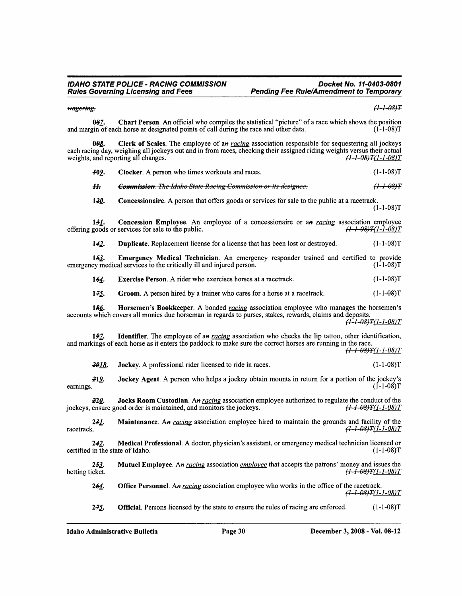### wagering.

 $(1 - 1 - 08)T$ 

Chart Person. An official who compiles the statistical "picture" of a race which shows the position 087. and margin of each horse at designated points of call during the race and other data.  $(1 - 1 - 08)T$ 

Clerk of Scales. The employee of an racing association responsible for sequestering all jockeys 0.98 each racing day, weighing all jockeys out and in from races, checking their assigned riding weights versus their actual weights, and reporting all changes.  $(1 - 1 - 08)T(1 - 1 - 08)T$ 

| <u> 409.</u> | <b>Clocker.</b> A person who times workouts and races.                 | $(1-1-08)T$          |  |  |
|--------------|------------------------------------------------------------------------|----------------------|--|--|
|              | <b>Commission</b> . The Idaho State Racing Commission or its designee. | <del>(1-1-08)T</del> |  |  |

 $130.$ **Concessionaire.** A person that offers goods or services for sale to the public at a racetrack.  $(1-1-08)T$ 

Concession Employee. An employee of a concessionaire or an racing association employee 131. offering goods or services for sale to the public. <del>(1-1-08)T</del>(1-1-08)T

 $142.$ Duplicate. Replacement license for a license that has been lost or destroyed.  $(1-1-08)T$ 

Emergency Medical Technician. An emergency responder trained and certified to provide  $153.$ emergency medical services to the critically ill and injured person.  $(1-1-08)T$ 

 $(1-1-08)T$  $164.$ Exercise Person. A rider who exercises horses at a racetrack.

 $1 - 75$  $(1 - 1 - 08)T$ Groom. A person hired by a trainer who cares for a horse at a racetrack.

Horsemen's Bookkeeper. A bonded racing association employee who manages the horsemen's 186. accounts which covers all monies due horseman in regards to purses, stakes, rewards, claims and deposits.

 $\left(1 - 1 - 08\right)$ T $(1 - 1 - 08)$ T

**Identifier.** The employee of an racing association who checks the lip tattoo, other identification, 197. and markings of each horse as it enters the paddock to make sure the correct horses are running in the race.

 $(1 - 1 - 08)T(1 - 1 - 08)T$ 

2018. Jockey. A professional rider licensed to ride in races.  $(1-1-08)T$ 

212. Jockey Agent. A person who helps a jockey obtain mounts in return for a portion of the jockey's  $(1-1-08)T$ earnings.

Jocks Room Custodian. An racing association employee authorized to regulate the conduct of the  $-220.$ jockeys, ensure good order is maintained, and monitors the jockeys.  $(1 - 1 - 08)T(1 - 1 - 08)T$ 

Maintenance. An racing association employee hired to maintain the grounds and facility of the 2<del>3</del>L.  $(1 - 1 - 08)T(1 - 1 - 08)T$ racetrack.

Medical Professional. A doctor, physician's assistant, or emergency medical technician licensed or 242. certified in the state of Idaho.  $(1-1-08)T$ 

Mutuel Employee. An racing association employee that accepts the patrons' money and issues the  $253.$  $(1 - 1 - 08)T(1 - 1 - 08)T$ betting ticket.

**Office Personnel.** An racing association employee who works in the office of the racetrack. 264.  $(1 - 1 - 08)T(1 - 1 - 08)T$ 

**Official**. Persons licensed by the state to ensure the rules of racing are enforced.  $(1-1-08)T$  $2 - 75$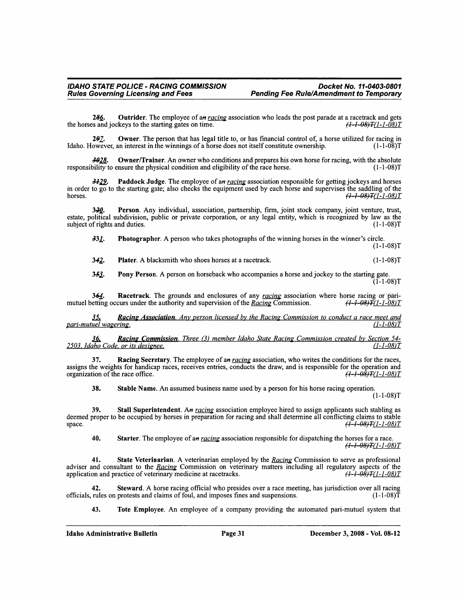286. Outrider. The employee of an racing association who leads the post parade at a racetrack and gets the horses and jockeys to the starting gates on time.  $(1 - 1 - 08)T(1 - 1 - 08)T$ 

Owner. The person that has legal title to, or has financial control of, a horse utilized for racing in 297. Idaho. However, an interest in the winnings of a horse does not itself constitute ownership.  $(1-1-08)T$ 

3028. **Owner/Trainer.** An owner who conditions and prepares his own horse for racing, with the absolute responsibility to ensure the physical condition and eligibility of the race horse.  $(1-1-08)T$ 

Paddock Judge. The employee of an racing association responsible for getting jockeys and horses  $3129.$ in order to  $\overline{go}$  to the starting gate; also checks the equipment used by each horse and supervises the saddling of the  $(1 - 1 - 08)T(1 - 1 - 08)T$ horses.

Person. Any individual, association, partnership, firm, joint stock company, joint venture, trust,  $3-20$ estate, political subdivision, public or private corporation, or any legal entity, which is recognized by law as the subject of rights and duties.  $(1-1-08)T$ 

**Photographer.** A person who takes photographs of the winning horses in the winner's circle. 331.  $(1-1-08)T$ 

 $342.$ **Plater.** A blacksmith who shoes horses at a racetrack.  $(1-1-08)T$ 

Pony Person. A person on horseback who accompanies a horse and jockey to the starting gate.  $353.$  $(1 - 1 - 08)T$ 

**Racetrack**. The grounds and enclosures of any racing association where horse racing or pari-364. mutuel betting occurs under the authority and supervision of the Racing Commission. <del>(1-1-08)T</del>(1-1-08)T

**Racing Association.** Any person licensed by the Racing Commission to conduct a race meet and <u>35.</u> pari-mutuel wagering.  $(1 - 1 - 08)T$ 

Racing Commission. Three (3) member Idaho State Racing Commission created by Section 54-<u>36.</u> 2503, Idaho Code, or its designee.  $(1 - 1 - 08)T$ 

Racing Secretary. The employee of an racing association, who writes the conditions for the races, 37. assigns the weights for handicap races, receives entries, conducts the draw, and is responsible for the operation and organization of the race office.  $(1 - 1 - 0.8)T(1 - 1 - 0.8)T$ 

38. Stable Name. An assumed business name used by a person for his horse racing operation.  $(1-1-08)T$ 

39. Stall Superintendent. An racing association employee hired to assign applicants such stabling as deemed proper to be occupied by horses in preparation for racing and shall determine all conflicting claims to stable  $\left(1 - 1 - 08\right)$ T $(1 - 1 - 08)$ T space.

Starter. The employee of an racing association responsible for dispatching the horses for a race. 40.  $(1 - 1 - 08)T(1 - 1 - 08)T$ 

State Veterinarian. A veterinarian employed by the Racing Commission to serve as professional adviser and consultant to the Racing Commission on veterinary matters including all regulatory aspects of the  $(1 - 1 - 08)T(1 - 1 - 08)T$ application and practice of veterinary medicine at racetracks.

Steward. A horse racing official who presides over a race meeting, has jurisdiction over all racing 42. officials, rules on protests and claims of foul, and imposes fines and suspensions.  $(1 - 1 - 08)T$ 

43. Tote Employee. An employee of a company providing the automated pari-mutuel system that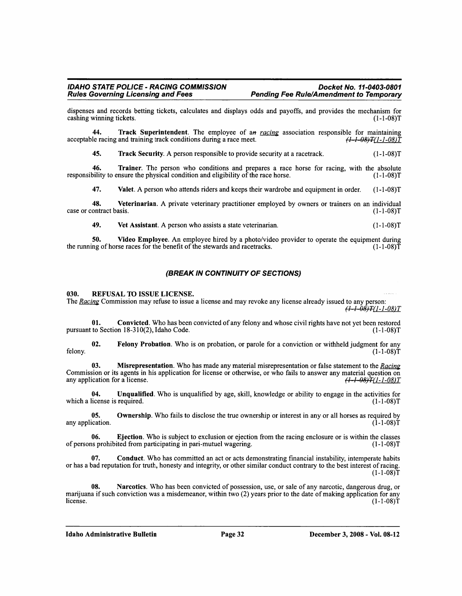dispenses and records betting tickets, calculates and displays odds and payoffs, and provides the mechanism for cashing winning tickets.  $(1-1-08)T$ 

44 Track Superintendent. The employee of an racing association responsible for maintaining  $(1 - 1 - 08)T(1 - 1 - 08)T$ acceptable racing and training track conditions during a race meet.

 $(1-1-08)T$ 45. Track Security. A person responsible to provide security at a racetrack.

46. Trainer. The person who conditions and prepares a race horse for racing, with the absolute  $(1-1-08)T$ responsibility to ensure the physical condition and eligibility of the race horse.

47. Valet. A person who attends riders and keeps their wardrobe and equipment in order.  $(1-1-08)T$ 

48. Veterinarian. A private veterinary practitioner employed by owners or trainers on an individual  $(1-1-08)T$ case or contract basis.

49. Vet Assistant. A person who assists a state veterinarian.  $(1-1-08)T$ 

Video Employee. An employee hired by a photo/video provider to operate the equipment during 50. the running of horse races for the benefit of the stewards and racetracks.  $(1-1-08)T$ 

# (BREAK IN CONTINUITY OF SECTIONS)

#### 030. REFUSAL TO ISSUE LICENSE.

The Racing Commission may refuse to issue a license and may revoke any license already issued to any person:  $(1 - 1 - 0.8)T(1 - 1 - 0.8)T$ 

01. Convicted. Who has been convicted of any felony and whose civil rights have not yet been restored pursuant to Section 18-310(2), Idaho Code.  $(1-1-08)T$ 

Felony Probation. Who is on probation, or parole for a conviction or withheld judgment for any 02. felony.  $(1-1-08)T$ 

Misrepresentation. Who has made any material misrepresentation or false statement to the Racing 03. Commission or its agents in his application for license or otherwise, or who fails to answer any material question on  $(1 - 1 - 08)T(1 - 1 - 08)T$ any application for a license.

04. Unqualified. Who is unqualified by age, skill, knowledge or ability to engage in the activities for which a license is required.  $(1-1-08)T$ 

Ownership. Who fails to disclose the true ownership or interest in any or all horses as required by 05. any application.  $(1-1-08)T$ 

Ejection. Who is subject to exclusion or ejection from the racing enclosure or is within the classes 06. of persons prohibited from participating in pari-mutuel wagering.  $(1-1-08)T$ 

Conduct. Who has committed an act or acts demonstrating financial instability, intemperate habits or has a bad reputation for truth, honesty and integrity, or other similar conduct contrary to the best interest of racing.  $(1-1-08)T$ 

08. Narcotics. Who has been convicted of possession, use, or sale of any narcotic, dangerous drug, or marijuana if such conviction was a misdemeanor, within two (2) years prior to the date of making application for any license.  $(1-1-08)T$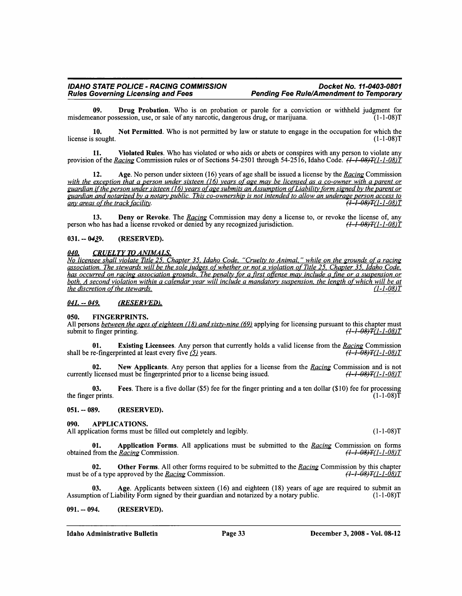09. Drug Probation. Who is on probation or parole for a conviction or withheld judgment for misdemeanor possession, use, or sale of any narcotic, dangerous drug, or marijuana.  $(1-1-08)T$ 

Not Permitted. Who is not permitted by law or statute to engage in the occupation for which the 10. license is sought.  $(1-1-08)T$ 

11. Violated Rules. Who has violated or who aids or abets or conspires with any person to violate any provision of the Racing Commission rules or of Sections 54-2501 through 54-2516, Idaho Code.  $(1-1-08)T(1-1-08)T(1-08)T(1-08)T(1-08)T(1-08)T(1-08)T(1-08)T(1-08)T(1-08)T(1-08)T(1-08)T(1-08)T(1-08)T(1-08)T(1-08)T(1-08)T(1-0$ 

Age. No person under sixteen  $(16)$  years of age shall be issued a license by the *Racing* Commission  $12.$ with the exception that a person under sixteen  $(16)$  years of age may be licensed as a co-owner with a parent or guardian if the person under sixteen (16) years of age submits an Assumption of Liability form signed by the parent or guardian and notarized by a notary public. This co-ownership is not intended to allow an underage person access to any areas of the track facility.  $H - 1 - 08$   $H$   $(1 - 1 - 08)T$ 

13. Deny or Revoke. The Racing Commission may deny a license to, or revoke the license of, any person who has had a license revoked or denied by any recognized jurisdiction.  $(1 - 1 - 08)T(1 - 1 - 08)T$ 

 $031 - 0439.$ (RESERVED).

#### **CRUELTY TO ANIMALS.** 040.

No licensee shall violate Title 25, Chapter 35, Idaho Code, "Cruelty to Animal," while on the grounds of a racing<br>association. The stewards will be the sole judges of whether or not a violation of Title 25, Chapter 35, Ida the discretion of the stewards.  $(1 - 1 - 08)T$ 

#### $041. - 049.$ (RESERVED).

#### 050. **FINGERPRINTS.**

All persons between the ages of eighteen (18) and sixty-nine (69) applying for licensing pursuant to this chapter must submit to finger printing.  $(1 - 1 - 08)T(1 - 1 - 08)T$ 

01. Existing Licensees. Any person that currently holds a valid license from the Racing Commission  $\frac{1}{(1-1-0.8)T(1-1-0.8)T}$ shall be re-fingerprinted at least every five  $(5)$  years.

New Applicants. Any person that applies for a license from the Racing Commission and is not 02. currently licensed must be fingerprinted prior to a license being issued.  $(1-1-08)T(1-1-08)T$ 

Fees. There is a five dollar (\$5) fee for the finger printing and a ten dollar (\$10) fee for processing 03. the finger prints.  $(1-1-08)T$ 

 $051. - 089.$ (RESERVED).

090. **APPLICATIONS.** 

All application forms must be filled out completely and legibly.

Application Forms. All applications must be submitted to the Racing Commission on forms 01. obtained from the Racing Commission.  $(1-1-08)T(1-1-08)T$ 

 $02.$ Other Forms. All other forms required to be submitted to the Racing Commission by this chapter must be of a type approved by the Racing Commission.  $(1 - 1 - 08)T(1 - 1 - 08)T$ 

Age. Applicants between sixteen (16) and eighteen (18) years of age are required to submit an Assumption of Liability Form signed by their guardian and notarized by a notary public.  $(1-1-08)T$ 

 $091. - 094.$ (RESERVED).  $(1-1-08)T$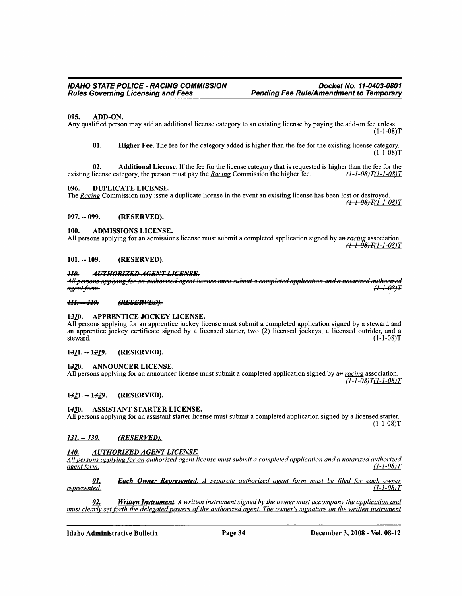#### 095. ADD-ON.

Any qualified person may add an additional license category to an existing license by paying the add-on fee unless:  $(1-1-08)T$ 

01. Higher Fee. The fee for the category added is higher than the fee for the existing license category.  $(1-1-08)T$ 

02. **Additional License.** If the fee for the license category that is requested is higher than the fee for the  $(1 - 1 - 08)T(1 - 1 - 08)T$ existing license category, the person must pay the Racing Commission the higher fee.

#### 096. **DUPLICATE LICENSE.**

The Racing Commission may issue a duplicate license in the event an existing license has been lost or destroyed. <del>(1-1-08)T</del>(1-1-08)T

#### 097. -- 099. (RESERVED).

#### **ADMISSIONS LICENSE.** 100.

All persons applying for an admissions license must submit a completed application signed by an racing association.  $\frac{7}{(1-1-0.8)}$   $T(1-1-0.8)T$ 

#### $101. - 109.$ (RESERVED).

#### $H\theta$ **AUTHORIZED AGENT LICENSE.**

All persons applying for an authorized agent license must submit a completed application and a notarized authorized agent form. <del>(1-1-08)T</del>

#### $H1. - H9.$ (RESERVED).

#### $1210.$ APPRENTICE JOCKEY LICENSE.

All persons applying for an apprentice jockey license must submit a completed application signed by a steward and an apprentice jockey certificate signed by a licensed starter, two (2) licensed jockeys, a licensed outrider, and a  $(1-1-08)T$ steward.

#### $1211 - 1219$ . (RESERVED).

**ANNOUNCER LICENSE.**  $1320.$ 

All persons applying for an announcer license must submit a completed application signed by an racing association.  $(1 - 1 - 08)T(1 - 1 - 08)T$ 

#### $1321 - 1329$ . (RESERVED).

1430. **ASSISTANT STARTER LICENSE.** 

All persons applying for an assistant starter license must submit a completed application signed by a licensed starter.  $(1-1-08)T$ 

#### $131. - 139.$ (RESERVED).

#### **AUTHORIZED AGENT LICENSE.** 140.

All persons applying for an authorized agent license must submit a completed application and a notarized authorized agent form.  $(1 - 1 - 08)T$ 

**Each Owner Represented.** A separate authorized agent form must be filed for each owner <u>01.</u>  $(1 - 1 - 08)T$ represented.

**Written Instrument.** A written instrument signed by the owner must accompany the application and 02. must clearly set forth the delegated powers of the authorized agent. The owner's signature on the written instrument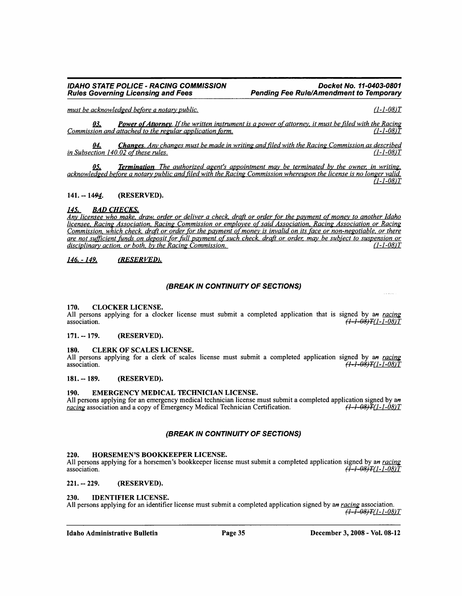Docket No. 11-0403-0801 **Pending Fee Rule/Amendment to Temporary** 

must be acknowledged before a notary public.

 $(1 - 1 - 08)T$ 

**Power of Attorney.** If the written instrument is a power of attorney, it must be filed with the Racing 03. Commission and attached to the regular application form.  $(1 - 1 - 08)T$ 

**Changes.** Any changes must be made in writing and filed with the Racing Commission as described <u>04.</u> in Subsection 140.02 of these rules.  $(1 - 1 - 08)T$ 

**Termination**. The authorized agent's appointment may be terminated by the owner, in writing, 05. acknowledged before a notary public and filed with the Racing Commission whereupon the license is no longer valid.  $(1 - 1 - 08)T$ 

#### $141. - 1494.$ (RESERVED).

#### 145. **BAD CHECKS.**

Any licensee who make, draw, order or deliver a check, draft or order for the payment of money to another Idaho licensee, Racing Association, Racing Commission or employee of said Association, Racing Association or Racing Commission, which check, draft or order for the payment of money is invalid on its face or non-negotiable, or there are not sufficient funds on deposit for full payment of such check, draft or order, may be subject to suspension or disciplinary action, or both, by the Racing Commission.  $(1 - 1 - 08)T$ 

#### $146. - 149.$ (RESERVED).

# (BREAK IN CONTINUITY OF SECTIONS)

#### 170. **CLOCKER LICENSE.**

All persons applying for a clocker license must submit a completed application that is signed by an racing 7 <del>(1 - 1 - 08</del>) T (1 - 1 - 08) T association.

#### (RESERVED).  $171. - 179.$

#### 180. **CLERK OF SCALES LICENSE.**

All persons applying for a clerk of scales license must submit a completed application signed by an racing <del>(1-1-08)T</del>(1-1-08)T association.

#### $181. - 189.$ (RESERVED).

#### 190. EMERGENCY MEDICAL TECHNICIAN LICENSE.

All persons applying for an emergency medical technician license must submit a completed application signed by an racing association and a copy of Emergency Medical Technician Certification.  $(1 - 1 - 08)T(1 - 1 - 08)T$ 

# (BREAK IN CONTINUITY OF SECTIONS)

#### HORSEMEN'S BOOKKEEPER LICENSE. 220.

All persons applying for a horsemen's bookkeeper license must submit a completed application signed by an racing <del>(1-1-08)T</del>(1-1-08)T association.

#### $221. - 229.$ (RESERVED).

#### 230. **IDENTIFIER LICENSE.**

All persons applying for an identifier license must submit a completed application signed by an racing association.  $(1 - 1 - 08)T(1 - 1 - 08)T$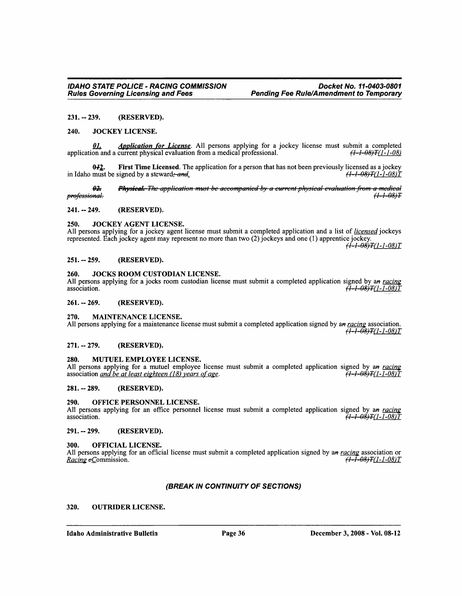#### $231. - 239.$ (RESERVED).

#### 240. **JOCKEY LICENSE.**

Application for License. All persons applying for a jockey license must submit a completed <u>01.</u> application and a current physical evaluation from a medical professional.  $(1 - 1 - 08)T(1 - 1 - 08)$ 

First Time Licensed. The application for a person that has not been previously licensed as a jockey  $0+2.$  $(+1 - 08)$  $T(1 - 1 - 08)T$ in Idaho must be signed by a steward; and

Physical. The application must be accompanied by a current physical evaluation from a medical <del>02.</del>  $(1 + 0.8)T$ professional.

#### $241. - 249.$ (RESERVED).

#### 250. JOCKEY AGENT LICENSE.

All persons applying for a jockey agent license must submit a completed application and a list of *licensed* jockeys represented. Each jockey agent may represent no more than two (2) jockeys and one (1) apprentice jockey.

 $(1 - 1 - 08)T(1 - 1 - 08)T$ 

#### $251. - 259.$ (RESERVED).

#### JOCKS ROOM CUSTODIAN LICENSE. 260.

All persons applying for a jocks room custodian license must submit a completed application signed by an racing association.  $\tilde{H}$  +  $\theta$   $\theta$   $\tilde{H}$  (1 - 1 -  $0$   $\theta$   $\tilde{T}$ 

(RESERVED).  $261. - 269.$ 

#### 270. **MAINTENANCE LICENSE.**

All persons applying for a maintenance license must submit a completed application signed by an racing association.  $\sqrt{11-08}$   $\sqrt{11-1-08}$   $T$ 

#### $271. - 279.$ (RESERVED).

#### 280. MUTUEL EMPLOYEE LICENSE.

All persons applying for a mutuel employee license must submit a completed application signed by an racing association and be at least eighteen (18) years of age. 71–1–08)T(1–1–08)T

#### $281. - 289.$ (RESERVED).

#### 290. OFFICE PERSONNEL LICENSE.

All persons applying for an office personnel license must submit a completed application signed by an racing  $\frac{7}{(1-1.08)T}$  (1-1-08)T association.

#### 291. -- 299. (RESERVED).

#### 300. **OFFICIAL LICENSE.**

All persons applying for an official license must submit a completed application signed by an racing association or  $\sqrt{1+1-08}$   $T(1-1-08)T$ Racing eCommission.

# (BREAK IN CONTINUITY OF SECTIONS)

#### 320. **OUTRIDER LICENSE.**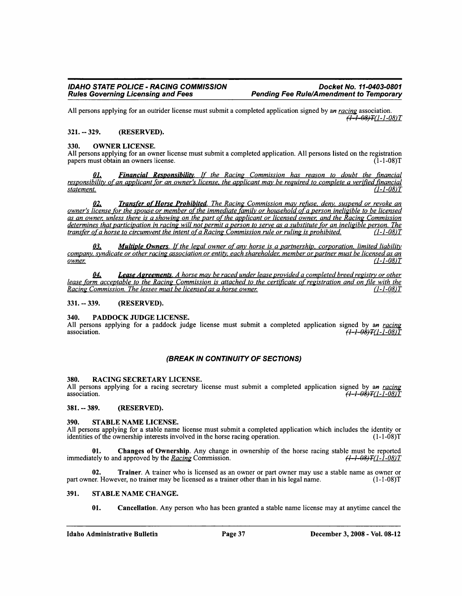All persons applying for an outrider license must submit a completed application signed by an racing association.  $\left(1 - 1 - 08\right)$ T $(1 - 1 - 08)$ T

#### $321. - 329.$ (RESERVED).

#### 330. **OWNER LICENSE.**

All persons applying for an owner license must submit a completed application. All persons listed on the registration papers must obtain an owners license.  $(1-1-08)T$ 

**Financial Responsibility.** If the Racing Commission has reason to doubt the financial 01. responsibility of an applicant for an owner's license, the applicant may be required to complete a verified financial statement.  $(1 - 1 - 08)T$ 

02. Transfer of Horse Prohibited. The Racing Commission may refuse, deny, suspend or revoke an owner's license for the spouse or member of the immediate family or household of a person ineligible to be licensed as an owner, unless there is a showing on the part of the applicant or licensed owner, and the Racing Commission determines that participation in racing will not permit a person to serve as a substitute for an ineligible person. The transfer of a horse to circumvent the intent of a Racing Commission rule or ruling is prohibited.  $(1 - 1 - 08)T$ 

**Multiple Owners.** If the legal owner of any horse is a partnership, corporation, limited liability 03. company, syndicate or other racing association or entity, each shareholder, member or partner must be licensed as an  $(1 - 1 - 08)T$ owner.

Lease Agreements. A horse may be raced under lease provided a completed breed registry or other 04. lease form acceptable to the Racing Commission is attached to the certificate of registration and on file with the Racing Commission. The lessee must be licensed as a horse owner.  $(1 - 1 - 08)T$ 

#### $331. - 339.$ (RESERVED).

#### PADDOCK JUDGE LICENSE. 340.

All persons applying for a paddock judge license must submit a completed application signed by an racing association. <del>(1-1-08)T</del>(1-1-08)T

# (BREAK IN CONTINUITY OF SECTIONS)

#### RACING SECRETARY LICENSE. 380.

All persons applying for a racing secretary license must submit a completed application signed by an racing association. <del>(1-1-08)T</del>(1-1-08)T

 $381. - 389.$ (RESERVED).

#### 390. STABLE NAME LICENSE.

All persons applying for a stable name license must submit a completed application which includes the identity or identities of the ownership interests involved in the horse racing operation.  $(1-1-08)T$ 

Changes of Ownership. Any change in ownership of the horse racing stable must be reported 01. <del>(1-1-08)T</del>(1-1-08)T immediately to and approved by the Racing Commission.

02. **Trainer.** A trainer who is licensed as an owner or part owner may use a stable name as owner or part owner. However, no trainer may be licensed as a trainer other than in his legal name.  $(1-1-08)T$ 

#### STABLE NAME CHANGE. 391.

01. Cancellation. Any person who has been granted a stable name license may at anytime cancel the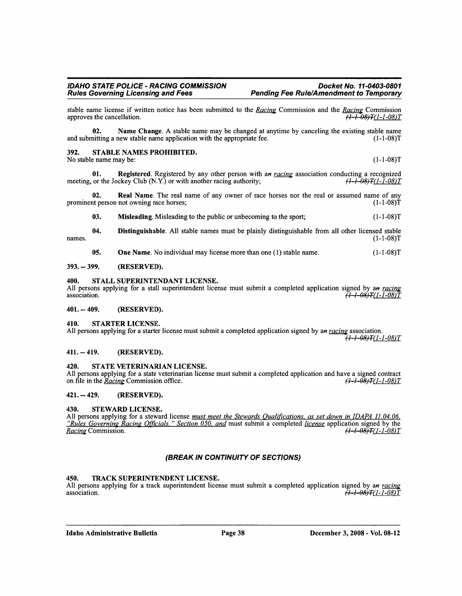$(1-1-08)T$ 

stable name license if written notice has been submitted to the Racing Commission and the Racing Commission approves the cancellation. <del>(1-1-08)T</del>(1-1-08)T

Name Change. A stable name may be changed at anytime by canceling the existing stable name 02. and submitting a new stable name application with the appropriate fee.  $(1-1-08)T$ 

#### 392. STABLE NAMES PROHIBITED.

No stable name may be:

Registered. Registered by any other person with an racing association conducting a recognized 01. meeting, or the Jockey Club (N.Y.) or with another racing authority;  $(1 - 1 - 08)T(1 - 1 - 08)T$ 

 $02.$ **Real Name.** The real name of any owner of race horses nor the real or assumed name of any prominent person not owning race horses;  $(1-1-08)T$ 

03. Misleading. Misleading to the public or unbecoming to the sport;  $(1-1-08)T$ 

Distinguishable. All stable names must be plainly distinguishable from all other licensed stable 04. names.  $(1-1-08)T$ 

05. **One Name.** No individual may license more than one (1) stable name.  $(1-1-08)T$ 

#### $393. - 399.$ (RESERVED).

#### 400. STALL SUPERINTENDANT LICENSE.

All persons applying for a stall superintendent license must submit a completed application signed by an racing <del>(1–1–08)T</del>(1–1–08)T association.

 $401. - 409.$ (RESERVED).

#### 410. **STARTER LICENSE.**

All persons applying for a starter license must submit a completed application signed by an racing association.  $\overline{(1-1-08)T(1-1-08)T}$ 

 $411. - 419.$ (RESERVED).

#### STATE VETERINARIAN LICENSE. 420.

All persons applying for a state veterinarian license must submit a completed application and have a signed contract  $(1 - 1 - 08)T(1 - 1 - 08)T$ on file in the *Racing* Commission office.

#### $421 - 429$ . (RESERVED).

#### 430. **STEWARD LICENSE.**

All persons applying for a steward license must meet the Stewards Qualifications, as set down in IDAPA 11.04.06, "Rules Governing Racing Officials," Section 050, and must submit a completed *license* application signed by the  $(1 - 1 - 08)T(1 - 1 - 08)T$ Racing Commission.

# (BREAK IN CONTINUITY OF SECTIONS)

#### 450. TRACK SUPERINTENDENT LICENSE.

All persons applying for a track superintendent license must submit a completed application signed by an racing association. <del>(1-1-08)T</del>(1-1-08)T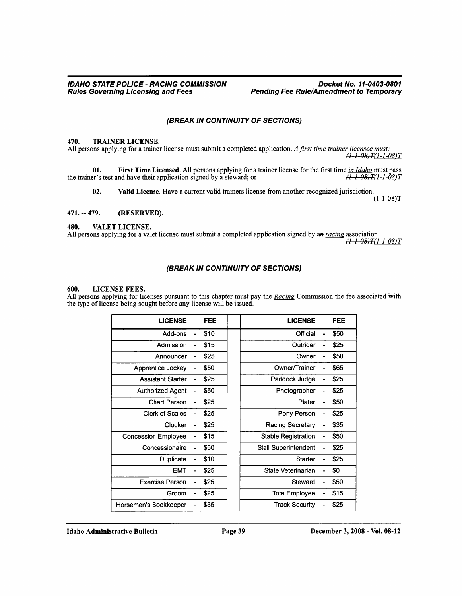# (BREAK IN CONTINUITY OF SECTIONS)

#### 470. **TRAINER LICENSE.**

All persons applying for a trainer license must submit a completed application. A first time trainer licensee must:  $(1-1-08)T(1-1-08)T$ 

01. First Time Licensed. All persons applying for a trainer license for the first time in Idaho must pass the trainer's test and have their application signed by a steward; or  $\sqrt{11-08}$   $T(1-1-08)T$ 

02. Valid License. Have a current valid trainers license from another recognized jurisdiction.

 $(1-1-08)T$ 

#### $471. - 479.$ (RESERVED).

#### 480. VALET LICENSE.

All persons applying for a valet license must submit a completed application signed by an racing association.  $(1-1-08)T(1-1-08)T$ 

# (BREAK IN CONTINUITY OF SECTIONS)

#### 600. **LICENSE FEES.**

All persons applying for licenses pursuant to this chapter must pay the Racing Commission the fee associated with the type of license being sought before any license will be issued.

| <b>LICENSE</b>             | <b>FEE</b> | <b>LICENSE</b>              | FEE  |
|----------------------------|------------|-----------------------------|------|
| Add-ons                    | \$10       | Official                    | \$50 |
| Admission                  | \$15       | Outrider                    | \$25 |
| Announcer                  | \$25       | Owner                       | \$50 |
| Apprentice Jockey          | \$50       | Owner/Trainer               | \$65 |
| <b>Assistant Starter</b>   | \$25       | Paddock Judge               | \$25 |
| <b>Authorized Agent</b>    | \$50       | Photographer                | \$25 |
| <b>Chart Person</b>        | \$25       | Plater                      | \$50 |
| <b>Clerk of Scales</b>     | \$25       | Pony Person                 | \$25 |
| Clocker                    | \$25       | Racing Secretary            | \$35 |
| <b>Concession Employee</b> | \$15       | <b>Stable Registration</b>  | \$50 |
| Concessionaire             | \$50       | <b>Stall Superintendent</b> | \$25 |
| Duplicate                  | \$10       | Starter                     | \$25 |
| <b>EMT</b>                 | \$25       | State Veterinarian          | \$0  |
| <b>Exercise Person</b>     | \$25       | Steward                     | \$50 |
| Groom                      | \$25       | <b>Tote Employee</b>        | \$15 |
| Horsemen's Bookkeeper      | \$35       | <b>Track Security</b>       | \$25 |